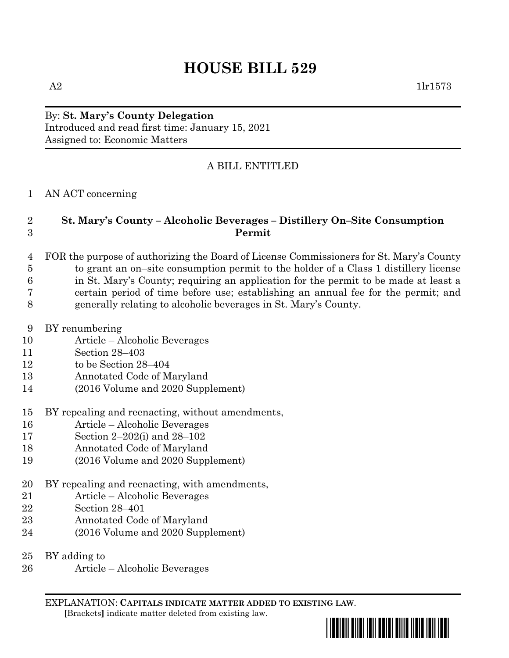# **HOUSE BILL 529**

#### By: **St. Mary's County Delegation** Introduced and read first time: January 15, 2021 Assigned to: Economic Matters

### A BILL ENTITLED

AN ACT concerning

#### **St. Mary's County – Alcoholic Beverages – Distillery On–Site Consumption Permit**

- FOR the purpose of authorizing the Board of License Commissioners for St. Mary's County to grant an on–site consumption permit to the holder of a Class 1 distillery license in St. Mary's County; requiring an application for the permit to be made at least a certain period of time before use; establishing an annual fee for the permit; and generally relating to alcoholic beverages in St. Mary's County.
- BY renumbering
- Article Alcoholic Beverages
- Section 28–403
- to be Section 28–404
- Annotated Code of Maryland
- (2016 Volume and 2020 Supplement)
- BY repealing and reenacting, without amendments,
- Article Alcoholic Beverages
- Section 2–202(i) and 28–102
- Annotated Code of Maryland
- (2016 Volume and 2020 Supplement)
- BY repealing and reenacting, with amendments,
- Article Alcoholic Beverages
- Section 28–401
- Annotated Code of Maryland
- (2016 Volume and 2020 Supplement)
- BY adding to
- Article Alcoholic Beverages

EXPLANATION: **CAPITALS INDICATE MATTER ADDED TO EXISTING LAW**.  **[**Brackets**]** indicate matter deleted from existing law.

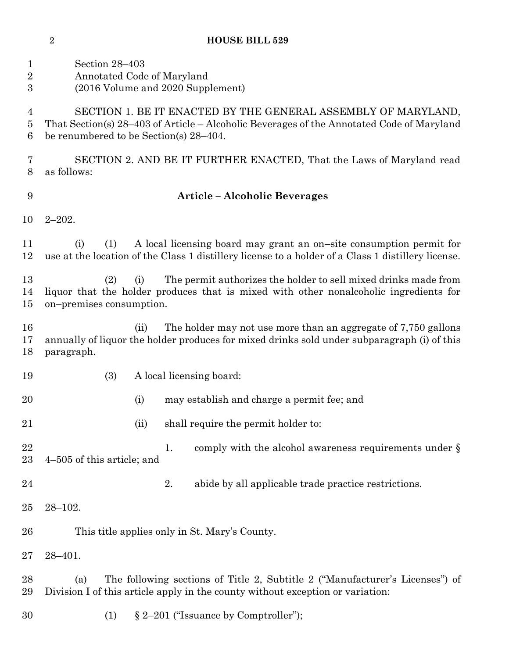| <b>HOUSE BILL 529</b> |
|-----------------------|
|                       |

| $\mathbf 1$<br>$\overline{2}$<br>$\boldsymbol{3}$ | Section 28-403<br>Annotated Code of Maryland<br>(2016 Volume and 2020 Supplement)                                                                                                                       |  |  |  |  |
|---------------------------------------------------|---------------------------------------------------------------------------------------------------------------------------------------------------------------------------------------------------------|--|--|--|--|
| 4<br>5<br>6                                       | SECTION 1. BE IT ENACTED BY THE GENERAL ASSEMBLY OF MARYLAND,<br>That Section(s) 28-403 of Article - Alcoholic Beverages of the Annotated Code of Maryland<br>be renumbered to be Section(s) $28-404$ . |  |  |  |  |
| 7<br>8                                            | SECTION 2. AND BE IT FURTHER ENACTED, That the Laws of Maryland read<br>as follows:                                                                                                                     |  |  |  |  |
| 9                                                 | <b>Article - Alcoholic Beverages</b>                                                                                                                                                                    |  |  |  |  |
| 10                                                | $2 - 202$ .                                                                                                                                                                                             |  |  |  |  |
| 11<br>12                                          | A local licensing board may grant an on-site consumption permit for<br>(i)<br>(1)<br>use at the location of the Class 1 distillery license to a holder of a Class 1 distillery license.                 |  |  |  |  |
| 13<br>14<br>15                                    | The permit authorizes the holder to sell mixed drinks made from<br>(i)<br>(2)<br>liquor that the holder produces that is mixed with other nonalcoholic ingredients for<br>on-premises consumption.      |  |  |  |  |
| 16<br>17<br>18                                    | The holder may not use more than an aggregate of 7,750 gallons<br>(ii)<br>annually of liquor the holder produces for mixed drinks sold under subparagraph (i) of this<br>paragraph.                     |  |  |  |  |
| 19                                                | (3)<br>A local licensing board:                                                                                                                                                                         |  |  |  |  |
| 20                                                | (i)<br>may establish and charge a permit fee; and                                                                                                                                                       |  |  |  |  |
| 21                                                | shall require the permit holder to:<br>(ii)                                                                                                                                                             |  |  |  |  |
| 22<br>$23\,$                                      | comply with the alcohol awareness requirements under §<br>1.<br>4–505 of this article; and                                                                                                              |  |  |  |  |
| 24                                                | 2.<br>abide by all applicable trade practice restrictions.                                                                                                                                              |  |  |  |  |
| 25                                                | $28 - 102.$                                                                                                                                                                                             |  |  |  |  |
| 26                                                | This title applies only in St. Mary's County.                                                                                                                                                           |  |  |  |  |
| $27\,$                                            | $28 - 401.$                                                                                                                                                                                             |  |  |  |  |
| 28<br>29                                          | The following sections of Title 2, Subtitle 2 ("Manufacturer's Licenses") of<br>(a)<br>Division I of this article apply in the county without exception or variation:                                   |  |  |  |  |
| 30                                                | $\S 2-201$ ("Issuance by Comptroller");<br>(1)                                                                                                                                                          |  |  |  |  |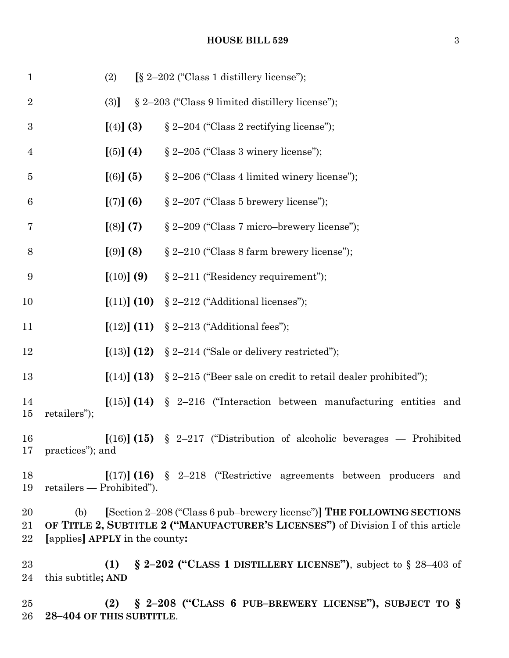## **HOUSE BILL 529** 3

| $\mathbf{1}$     |                                                                                                                                                                                                     | (2)                             | [§ 2-202 ("Class 1 distillery license");                                           |
|------------------|-----------------------------------------------------------------------------------------------------------------------------------------------------------------------------------------------------|---------------------------------|------------------------------------------------------------------------------------|
| $\overline{2}$   |                                                                                                                                                                                                     | (3)                             | § 2-203 ("Class 9 limited distillery license");                                    |
| $\boldsymbol{3}$ |                                                                                                                                                                                                     | [ (4) ] (3)                     | § 2-204 ("Class 2 rectifying license");                                            |
| $\overline{4}$   |                                                                                                                                                                                                     | [(5)] (4)                       | $\S 2-205$ ("Class 3 winery license");                                             |
| $\overline{5}$   |                                                                                                                                                                                                     | [(6)] (5)                       | § 2-206 ("Class 4 limited winery license");                                        |
| $\,6$            |                                                                                                                                                                                                     | [(7)] (6)                       | $\S 2-207$ ("Class 5 brewery license");                                            |
| 7                |                                                                                                                                                                                                     | [(8)] (7)                       | § 2-209 ("Class 7 micro-brewery license");                                         |
| 8                |                                                                                                                                                                                                     | [ (9) ] (8)                     | $\S 2-210$ ("Class 8 farm brewery license");                                       |
| $\boldsymbol{9}$ |                                                                                                                                                                                                     | [(10)] (9)                      | $\S 2-211$ ("Residency requirement");                                              |
| 10               |                                                                                                                                                                                                     | [(11)] (10)                     | § 2-212 ("Additional licenses");                                                   |
| 11               |                                                                                                                                                                                                     |                                 | $[(12)] (11) \S 2-213$ ("Additional fees");                                        |
| 12               |                                                                                                                                                                                                     |                                 | $[(13)] (12) \S 2-214$ ("Sale or delivery restricted");                            |
| 13               |                                                                                                                                                                                                     |                                 | $[(14)]$ (13) § 2-215 ("Beer sale on credit to retail dealer prohibited");         |
| 14<br>15         | retailers");                                                                                                                                                                                        |                                 | $\lceil (15) \rceil (14)$ § 2-216 ("Interaction between manufacturing entities and |
| 16               | 17 practices"); and                                                                                                                                                                                 |                                 | $[(16)] (15)$ § 2-217 ("Distribution of alcoholic beverages — Prohibited           |
| 18<br>19         |                                                                                                                                                                                                     | retailers — Prohibited").       | $[(17)]$ (16) § 2-218 ("Restrictive agreements between producers and               |
| 20<br>21<br>22   | [Section 2-208 ("Class 6 pub-brewery license")] THE FOLLOWING SECTIONS<br>(b)<br>OF TITLE 2, SUBTITLE 2 ("MANUFACTURER'S LICENSES") of Division I of this article<br>[applies] APPLY in the county: |                                 |                                                                                    |
| 23<br>24         | this subtitle; AND                                                                                                                                                                                  | (1)                             | $\S$ 2–202 ("CLASS 1 DISTILLERY LICENSE"), subject to $\S$ 28–403 of               |
| 25<br>26         |                                                                                                                                                                                                     | (2)<br>28-404 OF THIS SUBTITLE. | § 2-208 ("CLASS 6 PUB-BREWERY LICENSE"), SUBJECT TO §                              |